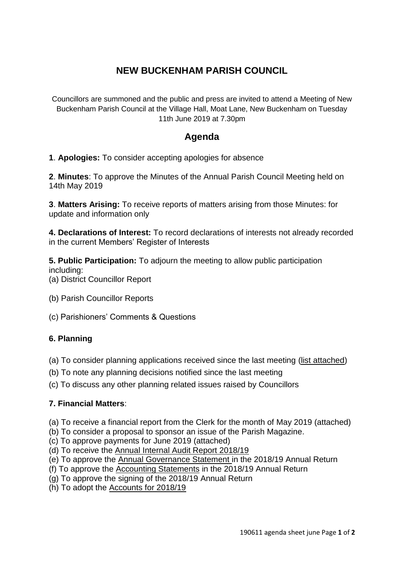# **NEW BUCKENHAM PARISH COUNCIL**

Councillors are summoned and the public and press are invited to attend a Meeting of New Buckenham Parish Council at the Village Hall, Moat Lane, New Buckenham on Tuesday 11th June 2019 at 7.30pm

# **Agenda**

**1**. **Apologies:** To consider accepting apologies for absence

**2**. **Minutes**: To approve the Minutes of the Annual Parish Council Meeting held on 14th May 2019

**3**. **Matters Arising:** To receive reports of matters arising from those Minutes: for update and information only

**4. Declarations of Interest:** To record declarations of interests not already recorded in the current Members' Register of Interests

**5. Public Participation:** To adjourn the meeting to allow public participation including: (a) District Councillor Report

- (b) Parish Councillor Reports
- (c) Parishioners' Comments & Questions

#### **6. Planning**

(a) To consider planning applications received since the last meeting (list attached)

- (b) To note any planning decisions notified since the last meeting
- (c) To discuss any other planning related issues raised by Councillors

#### **7. Financial Matters**:

(a) To receive a financial report from the Clerk for the month of May 2019 (attached)

- (b) To consider a proposal to sponsor an issue of the Parish Magazine.
- (c) To approve payments for June 2019 (attached)
- (d) To receive the Annual Internal Audit Report 2018/19
- (e) To approve the Annual Governance Statement in the 2018/19 Annual Return
- (f) To approve the Accounting Statements in the 2018/19 Annual Return
- (g) To approve the signing of the 2018/19 Annual Return
- (h) To adopt the Accounts for 2018/19